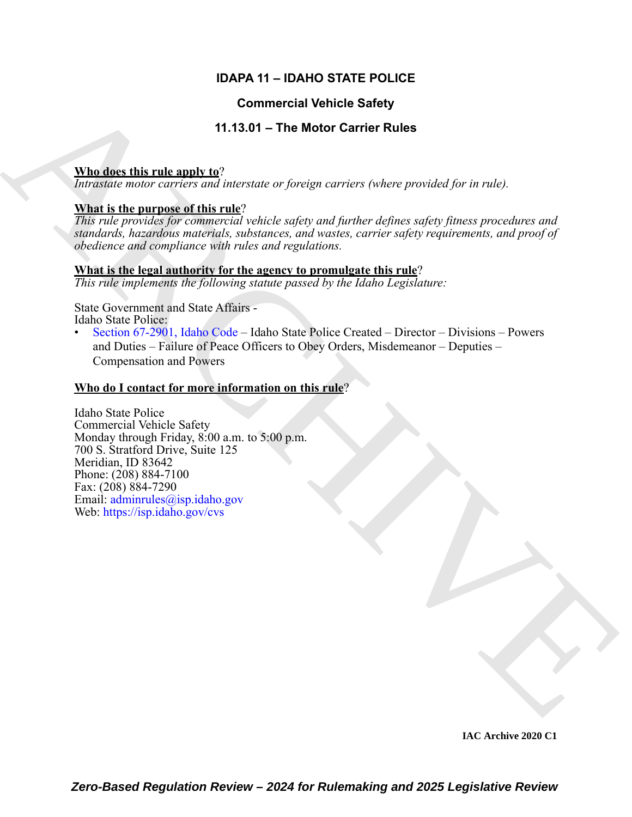# **IDAPA 11 – IDAHO STATE POLICE**

# **Commercial Vehicle Safety**

# **11.13.01 – The Motor Carrier Rules**

### **Who does this rule apply to**?

*Intrastate motor carriers and interstate or foreign carriers (where provided for in rule).*

### **What is the purpose of this rule**?

*This rule provides for commercial vehicle safety and further defines safety fitness procedures and standards, hazardous materials, substances, and wastes, carrier safety requirements, and proof of obedience and compliance with rules and regulations.*

### **What is the legal authority for the agency to promulgate this rule**?

*This rule implements the following statute passed by the Idaho Legislature:*

State Government and State Affairs - Idaho State Police:

• Section 67-2901, Idaho Code – Idaho State Police Created – Director – Divisions – Powers and Duties – Failure of Peace Officers to Obey Orders, Misdemeanor – Deputies – Compensation and Powers

### **Who do I contact for more information on this rule**?

**Commercial Vehicle Safety**<br>
11.3.01 - The Motor Carrier Rules<br>
Mondate this rule and the mean of the state of protein current (where percolade for is role)<br> *Roughly incredible that* the control of the state of the state Idaho State Police Commercial Vehicle Safety Monday through Friday, 8:00 a.m. to 5:00 p.m. 700 S. Stratford Drive, Suite 125 Meridian, ID 83642 Phone: (208) 884-7100 Fax: (208) 884-7290 Email: adminrules@isp.idaho.gov Web: https://isp.idaho.gov/cvs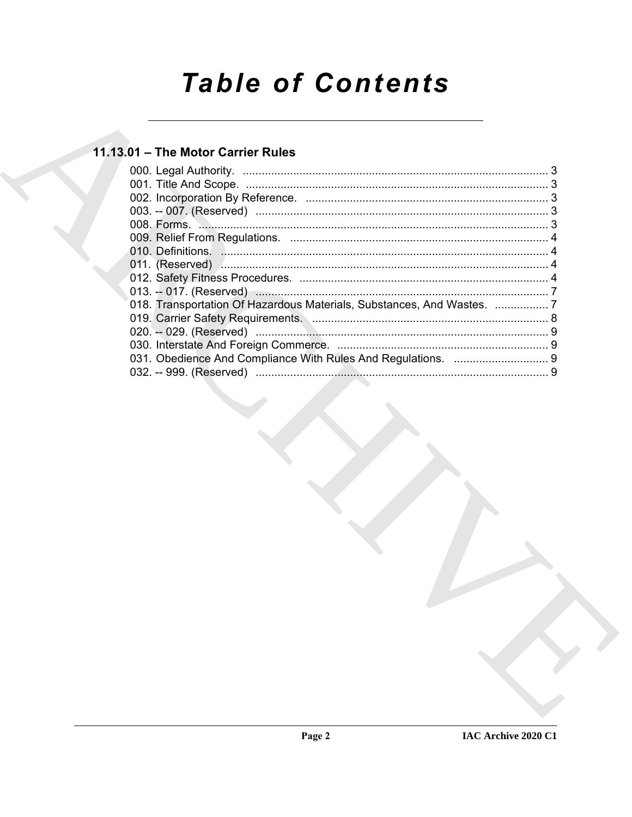# **Table of Contents**

# 11.13.01 - The Motor Carrier Rules

| 018. Transportation Of Hazardous Materials, Substances, And Wastes.  7 |  |
|------------------------------------------------------------------------|--|
|                                                                        |  |
|                                                                        |  |
|                                                                        |  |
|                                                                        |  |
|                                                                        |  |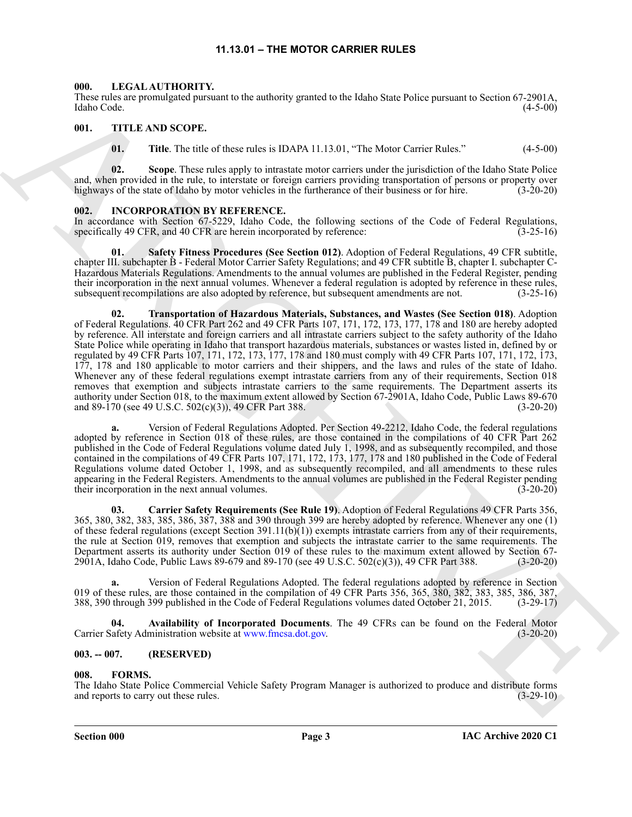### **11.13.01 – THE MOTOR CARRIER RULES**

### <span id="page-2-11"></span><span id="page-2-1"></span><span id="page-2-0"></span>**000. LEGAL AUTHORITY.**

These rules are promulgated pursuant to the authority granted to the Idaho State Police pursuant to Section 67-2901A, Idaho Code. (4-5-00)

### <span id="page-2-2"></span>**001. TITLE AND SCOPE.**

<span id="page-2-12"></span>**01.** Title. The title of these rules is IDAPA 11.13.01, "The Motor Carrier Rules." (4-5-00)

**02. Scope**. These rules apply to intrastate motor carriers under the jurisdiction of the Idaho State Police and, when provided in the rule, to interstate or foreign carriers providing transportation of persons or property over highways of the state of Idaho by motor vehicles in the furtherance of their business or for hire. (3-20-20)

### <span id="page-2-10"></span><span id="page-2-3"></span>**002. INCORPORATION BY REFERENCE.**

In accordance with Section 67-5229, Idaho Code, the following sections of the Code of Federal Regulations, specifically 49 CFR, and 40 CFR are herein incorporated by reference:  $(3-25-16)$ 

<span id="page-2-9"></span><span id="page-2-8"></span>**01. Safety Fitness Procedures (See Section 012)**. Adoption of Federal Regulations, 49 CFR subtitle, chapter III. subchapter B - Federal Motor Carrier Safety Regulations; and 49 CFR subtitle B, chapter I. subchapter C-Hazardous Materials Regulations. Amendments to the annual volumes are published in the Federal Register, pending their incorporation in the next annual volumes. Whenever a federal regulation is adopted by reference in these rules, subsequent recompilations are also adopted by reference, but subsequent amendments are not. (3-25-16)

These region experimental present in the surface region of the latter person of the latter spectra of the surface region of the surface region of the surface region of the surface region of the surface region of the surfa **02. Transportation of Hazardous Materials, Substances, and Wastes (See Section 018)**. Adoption of Federal Regulations. 40 CFR Part 262 and 49 CFR Parts 107, 171, 172, 173, 177, 178 and 180 are hereby adopted by reference. All interstate and foreign carriers and all intrastate carriers subject to the safety authority of the Idaho State Police while operating in Idaho that transport hazardous materials, substances or wastes listed in, defined by or regulated by 49 CFR Parts 107, 171, 172, 173, 177, 178 and 180 must comply with 49 CFR Parts 107, 171, 172, 173, 177, 178 and 180 applicable to motor carriers and their shippers, and the laws and rules of the state of Idaho. Whenever any of these federal regulations exempt intrastate carriers from any of their requirements, Section 018 removes that exemption and subjects intrastate carriers to the same requirements. The Department asserts its authority under Section 018, to the maximum extent allowed by Section 67-2901A, Idaho Code, Public Laws 89-670 and 89-170 (see 49 U.S.C. 502(c)(3)), 49 CFR Part 388.

**a.** Version of Federal Regulations Adopted. Per Section 49-2212, Idaho Code, the federal regulations adopted by reference in Section 018 of these rules, are those contained in the compilations of 40 CFR Part 262 published in the Code of Federal Regulations volume dated July 1, 1998, and as subsequently recompiled, and those contained in the compilations of 49 CFR Parts 107, 171, 172, 173, 177, 178 and 180 published in the Code of Federal Regulations volume dated October 1, 1998, and as subsequently recompiled, and all amendments to these rules appearing in the Federal Registers. Amendments to the annual volumes are published in the Federal Register pending their incorporation in the next annual volumes. (3-20-20)

<span id="page-2-7"></span>**03. Carrier Safety Requirements (See Rule 19)**. Adoption of Federal Regulations 49 CFR Parts 356, 365, 380, 382, 383, 385, 386, 387, 388 and 390 through 399 are hereby adopted by reference. Whenever any one (1) of these federal regulations (except Section 391.11(b) $(1)$ ) exempts intrastate carriers from any of their requirements, the rule at Section 019, removes that exemption and subjects the intrastate carrier to the same requirements. The Department asserts its authority under Section 019 of these rules to the maximum extent allowed by Section 67-<br>2901A, Idaho Code, Public Laws 89-679 and 89-170 (see 49 U.S.C. 502(c)(3)), 49 CFR Part 388. (3-20-20) 2901A, Idaho Code, Public Laws 89-679 and 89-170 (see 49 U.S.C. 502(c)(3)), 49 CFR Part 388.

**a.** Version of Federal Regulations Adopted. The federal regulations adopted by reference in Section 019 of these rules, are those contained in the compilation of 49 CFR Parts 356, 365, 380, 382, 383, 385, 386, 387, 388, 390 through 399 published in the Code of Federal Regulations volumes dated October 21, 2015. (3-29-17)

<span id="page-2-6"></span>**04. Availability of Incorporated Documents**. The 49 CFRs can be found on the Federal Motor Carrier Safety Administration website at www.fmcsa.dot.gov. (3-20-20)

### <span id="page-2-4"></span>**003. -- 007. (RESERVED)**

### <span id="page-2-5"></span>**008. FORMS.**

The Idaho State Police Commercial Vehicle Safety Program Manager is authorized to produce and distribute forms and reports to carry out these rules. (3-29-10)  $(3-29-10)$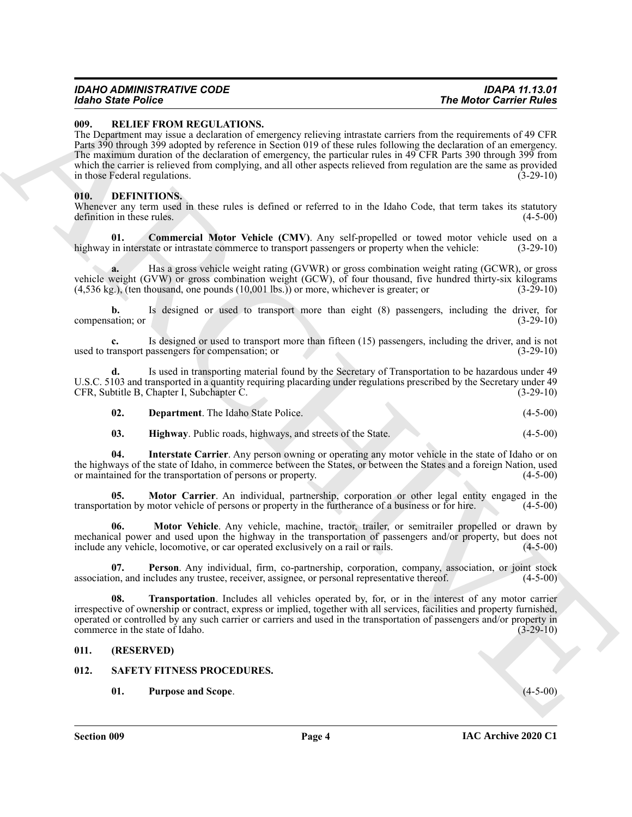# *IDAHO ADMINISTRATIVE CODE IDAPA 11.13.01*

### <span id="page-3-13"></span><span id="page-3-0"></span>**009. RELIEF FROM REGULATIONS.**

The Montr Carrier of the two-bootstands controlled the state of the Mont Carrier Rolles<br>
UPL REVIEW IN THE STATE CONTINUES IN the CARR CONTINUES IN the CARR CONTINUES IN the CARR CONTINUES IN the CARR CONTINUES IN the CAR The Department may issue a declaration of emergency relieving intrastate carriers from the requirements of 49 CFR Parts 390 through 399 adopted by reference in Section 019 of these rules following the declaration of an emergency. The maximum duration of the declaration of emergency, the particular rules in 49 CFR Parts 390 through 399 from which the carrier is relieved from complying, and all other aspects relieved from regulation are the same as provided in those Federal regulations. (3-29-10)

### <span id="page-3-4"></span><span id="page-3-1"></span>**010. DEFINITIONS.**

Whenever any term used in these rules is defined or referred to in the Idaho Code, that term takes its statutory definition in these rules. (4-5-00)

<span id="page-3-5"></span>**01.** Commercial Motor Vehicle (CMV). Any self-propelled or towed motor vehicle used on a in interstate or intrastate commerce to transport passengers or property when the vehicle: (3-29-10) highway in interstate or intrastate commerce to transport passengers or property when the vehicle:

**a.** Has a gross vehicle weight rating (GVWR) or gross combination weight rating (GCWR), or gross vehicle weight (GVW) or gross combination weight (GCW), of four thousand, five hundred thirty-six kilograms (4,536 kg.), (ten thousand, one pounds (10,001 lbs.)) or more, whichever is greater; or (3-29-10)  $(4,536 \text{ kg.})$ , (ten thousand, one pounds  $(10,001 \text{ lbs.})$ ) or more, whichever is greater; or

**b.** Is designed or used to transport more than eight (8) passengers, including the driver, for (3-29-10) (3-29-10) compensation; or

**c.** Is designed or used to transport more than fifteen (15) passengers, including the driver, and is not ransport passengers for compensation; or used to transport passengers for compensation; or

**d.** Is used in transporting material found by the Secretary of Transportation to be hazardous under 49 U.S.C. 5103 and transported in a quantity requiring placarding under regulations prescribed by the Secretary under 49 CFR, Subtitle B, Chapter I, Subchapter C. (3-29-10)

<span id="page-3-7"></span><span id="page-3-6"></span>

| 02. | <b>Department.</b> The Idaho State Police. |  |  | $(4-5-00)$ |
|-----|--------------------------------------------|--|--|------------|
|-----|--------------------------------------------|--|--|------------|

<span id="page-3-9"></span><span id="page-3-8"></span>**03. Highway**. Public roads, highways, and streets of the State. (4-5-00)

**04. Interstate Carrier**. Any person owning or operating any motor vehicle in the state of Idaho or on the highways of the state of Idaho, in commerce between the States, or between the States and a foreign Nation, used<br>or maintained for the transportation of persons or property. (4-5-00) or maintained for the transportation of persons or property.

**05. Motor Carrier**. An individual, partnership, corporation or other legal entity engaged in the transportation by motor vehicle of persons or property in the furtherance of a business or for hire. (4-5-00)

<span id="page-3-10"></span>**06. Motor Vehicle**. Any vehicle, machine, tractor, trailer, or semitrailer propelled or drawn by mechanical power and used upon the highway in the transportation of passengers and/or property, but does not include any vehicle, locomotive, or car operated exclusively on a rail or rails. (4-5-00)

<span id="page-3-11"></span>**07. Person**. Any individual, firm, co-partnership, corporation, company, association, or joint stock association, and includes any trustee, receiver, assignee, or personal representative thereof. (4-5-00)

<span id="page-3-12"></span>**08. Transportation**. Includes all vehicles operated by, for, or in the interest of any motor carrier irrespective of ownership or contract, express or implied, together with all services, facilities and property furnished, operated or controlled by any such carrier or carriers and used in the transportation of passengers and/or property in commerce in the state of Idaho.

### <span id="page-3-2"></span>**011. (RESERVED)**

### <span id="page-3-3"></span>**012. SAFETY FITNESS PROCEDURES.**

<span id="page-3-15"></span><span id="page-3-14"></span>**01. Purpose and Scope**. (4-5-00)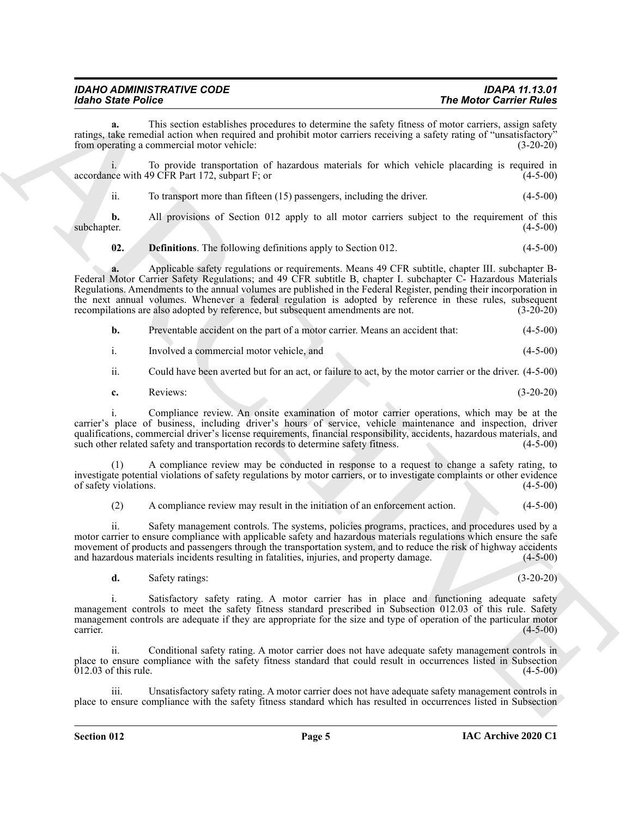| <b>IDAHO ADMINISTRATIVE CODE</b> | <b>IDAPA 11.13.01</b>          |
|----------------------------------|--------------------------------|
| <b>Idaho State Police</b>        | <b>The Motor Carrier Rules</b> |

**a.** This section establishes procedures to determine the safety fitness of motor carriers, assign safety ratings, take remedial action when required and prohibit motor carriers receiving a safety rating of "unsatisfactory" from operating a commercial motor vehicle: (3-20-20)

i. To provide transportation of hazardous materials for which vehicle placarding is required in accordance with 49 CFR Part 172, subpart F; or (4-5-00)

ii. To transport more than fifteen (15) passengers, including the driver. (4-5-00)

**b.** All provisions of Section 012 apply to all motor carriers subject to the requirement of this (4-5-00) subchapter. (4-5-00)

<span id="page-4-0"></span>**02. Definitions**. The following definitions apply to Section 012. (4-5-00)

**External density and the effective of the effective of the effective of the effective of the effective of the effective of the effective of the effective of the effective of the effective of the effective of the effecti a.** Applicable safety regulations or requirements. Means 49 CFR subtitle, chapter III. subchapter B-Federal Motor Carrier Safety Regulations; and 49 CFR subtitle B, chapter I. subchapter C- Hazardous Materials Regulations. Amendments to the annual volumes are published in the Federal Register, pending their incorporation in the next annual volumes. Whenever a federal regulation is adopted by reference in these rules, subsequent recompilations are also adopted by reference, but subsequent amendments are not. (3-20-20)

| b. |  | Preventable accident on the part of a motor carrier. Means an accident that: |  |  | $(4-5-00)$ |
|----|--|------------------------------------------------------------------------------|--|--|------------|
|----|--|------------------------------------------------------------------------------|--|--|------------|

i. Involved a commercial motor vehicle, and (4-5-00)

ii. Could have been averted but for an act, or failure to act, by the motor carrier or the driver. (4-5-00)

**c.** Reviews: (3-20-20)

i. Compliance review. An onsite examination of motor carrier operations, which may be at the carrier's place of business, including driver's hours of service, vehicle maintenance and inspection, driver qualifications, commercial driver's license requirements, financial responsibility, accidents, hazardous materials, and such other related safety and transportation records to determine safety fitness. (4-5-00)

(1) A compliance review may be conducted in response to a request to change a safety rating, to investigate potential violations of safety regulations by motor carriers, or to investigate complaints or other evidence of safety violations. (4-5-00)

(2) A compliance review may result in the initiation of an enforcement action. (4-5-00)

ii. Safety management controls. The systems, policies programs, practices, and procedures used by a motor carrier to ensure compliance with applicable safety and hazardous materials regulations which ensure the safe movement of products and passengers through the transportation system, and to reduce the risk of highway accidents and hazardous materials incidents resulting in fatalities, injuries, and property damage. (4-5-00)

**d.** Safety ratings: (3-20-20)

i. Satisfactory safety rating. A motor carrier has in place and functioning adequate safety management controls to meet the safety fitness standard prescribed in Subsection 012.03 of this rule. Safety management controls are adequate if they are appropriate for the size and type of operation of the particular motor carrier.  $\frac{1}{4-5-00}$  (4-5-00)

Conditional safety rating. A motor carrier does not have adequate safety management controls in place to ensure compliance with the safety fitness standard that could result in occurrences listed in Subsection  $012.03$  of this rule.  $(4-5-00)$ 

Unsatisfactory safety rating. A motor carrier does not have adequate safety management controls in place to ensure compliance with the safety fitness standard which has resulted in occurrences listed in Subsection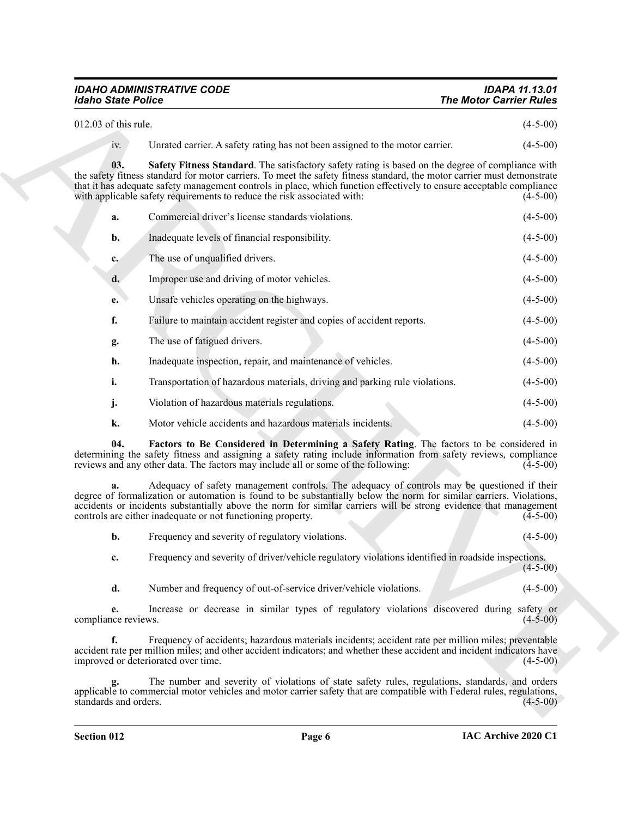# *IDAHO ADMINISTRATIVE CODE IDAPA 11.13.01*

<span id="page-5-1"></span><span id="page-5-0"></span>

| 012.03 of this rule. | $(4-5-00)$ |
|----------------------|------------|
|                      |            |

| <b>Idaho State Police</b>           |                                                                                                                                                                                                                                                                                                                                                                                                                                 | <b>The Motor Carrier Rules</b> |
|-------------------------------------|---------------------------------------------------------------------------------------------------------------------------------------------------------------------------------------------------------------------------------------------------------------------------------------------------------------------------------------------------------------------------------------------------------------------------------|--------------------------------|
| 012.03 of this rule.                |                                                                                                                                                                                                                                                                                                                                                                                                                                 | $(4-5-00)$                     |
| iv.                                 | Unrated carrier. A safety rating has not been assigned to the motor carrier.                                                                                                                                                                                                                                                                                                                                                    | $(4-5-00)$                     |
| 03.                                 | Safety Fitness Standard. The satisfactory safety rating is based on the degree of compliance with<br>the safety fitness standard for motor carriers. To meet the safety fitness standard, the motor carrier must demonstrate<br>that it has adequate safety management controls in place, which function effectively to ensure acceptable compliance<br>with applicable safety requirements to reduce the risk associated with: | $(4-5-00)$                     |
| a.                                  | Commercial driver's license standards violations.                                                                                                                                                                                                                                                                                                                                                                               | $(4-5-00)$                     |
| b.                                  | Inadequate levels of financial responsibility.                                                                                                                                                                                                                                                                                                                                                                                  | $(4-5-00)$                     |
| $c_{\cdot}$                         | The use of unqualified drivers.                                                                                                                                                                                                                                                                                                                                                                                                 | $(4-5-00)$                     |
| d.                                  | Improper use and driving of motor vehicles.                                                                                                                                                                                                                                                                                                                                                                                     | $(4-5-00)$                     |
| e.                                  | Unsafe vehicles operating on the highways.                                                                                                                                                                                                                                                                                                                                                                                      | $(4-5-00)$                     |
| f.                                  | Failure to maintain accident register and copies of accident reports.                                                                                                                                                                                                                                                                                                                                                           | $(4-5-00)$                     |
| g.                                  | The use of fatigued drivers.                                                                                                                                                                                                                                                                                                                                                                                                    | $(4-5-00)$                     |
| h.                                  | Inadequate inspection, repair, and maintenance of vehicles.                                                                                                                                                                                                                                                                                                                                                                     | $(4-5-00)$                     |
| i.                                  | Transportation of hazardous materials, driving and parking rule violations.                                                                                                                                                                                                                                                                                                                                                     | $(4-5-00)$                     |
| j.                                  | Violation of hazardous materials regulations.                                                                                                                                                                                                                                                                                                                                                                                   | $(4-5-00)$                     |
| k.                                  | Motor vehicle accidents and hazardous materials incidents.                                                                                                                                                                                                                                                                                                                                                                      | $(4-5-00)$                     |
| 04.                                 | Factors to Be Considered in Determining a Safety Rating. The factors to be considered in<br>determining the safety fitness and assigning a safety rating include information from safety reviews, compliance<br>reviews and any other data. The factors may include all or some of the following:                                                                                                                               | $(4-5-00)$                     |
|                                     | Adequacy of safety management controls. The adequacy of controls may be questioned if their<br>degree of formalization or automation is found to be substantially below the norm for similar carriers. Violations,<br>accidents or incidents substantially above the norm for similar carriers will be strong evidence that management<br>controls are either inadequate or not functioning property.                           | $(4-5-00)$                     |
| b.                                  | Frequency and severity of regulatory violations.                                                                                                                                                                                                                                                                                                                                                                                | $(4-5-00)$                     |
| c.                                  | Frequency and severity of driver/vehicle regulatory violations identified in roadside inspections.                                                                                                                                                                                                                                                                                                                              | $(4-5-00)$                     |
| d.                                  | Number and frequency of out-of-service driver/vehicle violations.                                                                                                                                                                                                                                                                                                                                                               | $(4-5-00)$                     |
| e.<br>compliance reviews.           | Increase or decrease in similar types of regulatory violations discovered during safety or                                                                                                                                                                                                                                                                                                                                      | $(4-5-00)$                     |
| f.                                  | Frequency of accidents; hazardous materials incidents; accident rate per million miles; preventable<br>accident rate per million miles; and other accident indicators; and whether these accident and incident indicators have                                                                                                                                                                                                  | $(4-5-00)$                     |
| improved or deteriorated over time. |                                                                                                                                                                                                                                                                                                                                                                                                                                 |                                |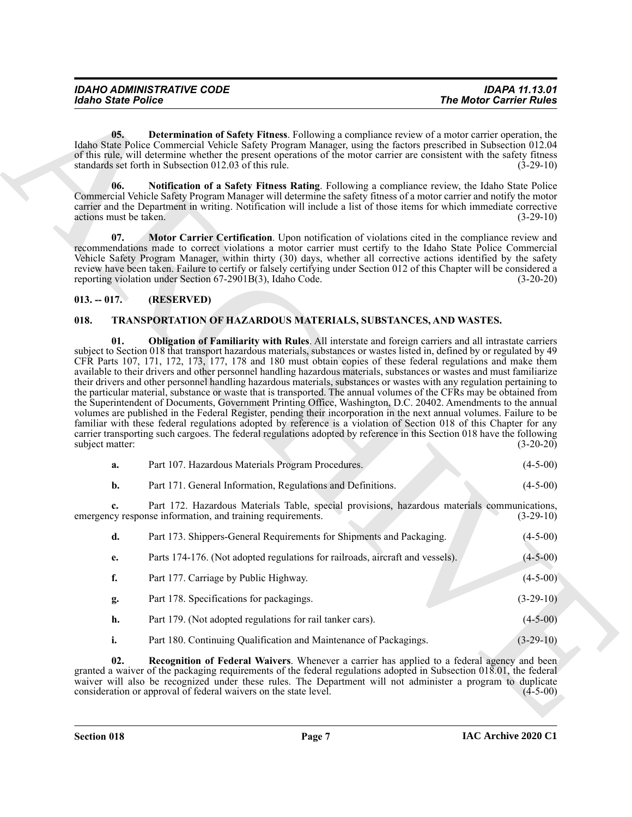<span id="page-6-3"></span>**05. Determination of Safety Fitness**. Following a compliance review of a motor carrier operation, the Idaho State Police Commercial Vehicle Safety Program Manager, using the factors prescribed in Subsection 012.04 of this rule, will determine whether the present operations of the motor carrier are consistent with the safety fitness standards set forth in Subsection 012.03 of this rule. (3-29-10)

<span id="page-6-2"></span>**06. Notification of a Safety Fitness Rating**. Following a compliance review, the Idaho State Police Commercial Vehicle Safety Program Manager will determine the safety fitness of a motor carrier and notify the motor carrier and the Department in writing. Notification will include a list of those items for which immediate corrective actions must be taken. (3-29-10)

<span id="page-6-4"></span>**07. Motor Carrier Certification**. Upon notification of violations cited in the compliance review and recommendations made to correct violations a motor carrier must certify to the Idaho State Police Commercial Vehicle Safety Program Manager, within thirty (30) days, whether all corrective actions identified by the safety review have been taken. Failure to certify or falsely certifying under Section 012 of this Chapter will be considered a reporting violation under Section 67-2901B(3), Idaho Code. (3-20-20)

### <span id="page-6-0"></span>**013. -- 017. (RESERVED)**

### <span id="page-6-6"></span><span id="page-6-5"></span><span id="page-6-1"></span>**018. TRANSPORTATION OF HAZARDOUS MATERIALS, SUBSTANCES, AND WASTES.**

The Monte Poince<br>
The Monte Poince Real of Solicity Planes. Following the Monte Carrier Follow<br>
16. (a), the remainder of Solicity Program Manage, many the carrier operation in the same of the same of the same of the same **01. Obligation of Familiarity with Rules**. All interstate and foreign carriers and all intrastate carriers subject to Section 018 that transport hazardous materials, substances or wastes listed in, defined by or regulated by 49 CFR Parts 107, 171, 172, 173, 177, 178 and 180 must obtain copies of these federal regulations and make them available to their drivers and other personnel handling hazardous materials, substances or wastes and must familiarize their drivers and other personnel handling hazardous materials, substances or wastes with any regulation pertaining to the particular material, substance or waste that is transported. The annual volumes of the CFRs may be obtained from the Superintendent of Documents, Government Printing Office, Washington, D.C. 20402. Amendments to the annual volumes are published in the Federal Register, pending their incorporation in the next annual volumes. Failure to be familiar with these federal regulations adopted by reference is a violation of Section 018 of this Chapter for any carrier transporting such cargoes. The federal regulations adopted by reference in this Section 018 have the following subject matter: (3-20-20)

| а. | Part 107. Hazardous Materials Program Procedures.                                                                                                          | $(4-5-00)$  |
|----|------------------------------------------------------------------------------------------------------------------------------------------------------------|-------------|
| b. | Part 171. General Information, Regulations and Definitions.                                                                                                | $(4-5-00)$  |
|    | Part 172. Hazardous Materials Table, special provisions, hazardous materials communications,<br>emergency response information, and training requirements. | $(3-29-10)$ |

| d. | Part 173. Shippers-General Requirements for Shipments and Packaging.          | $(4-5-00)$  |
|----|-------------------------------------------------------------------------------|-------------|
| e. | Parts 174-176. (Not adopted regulations for railroads, aircraft and vessels). | $(4-5-00)$  |
| f. | Part 177. Carriage by Public Highway.                                         | $(4-5-00)$  |
| g. | Part 178. Specifications for packagings.                                      | $(3-29-10)$ |
| h. | Part 179. (Not adopted regulations for rail tanker cars).                     | $(4-5-00)$  |
| ĺ. | Part 180. Continuing Qualification and Maintenance of Packagings.             | $(3-29-10)$ |

<span id="page-6-7"></span>**02. Recognition of Federal Waivers**. Whenever a carrier has applied to a federal agency and been granted a waiver of the packaging requirements of the federal regulations adopted in Subsection  $01\overline{8}01$ , the federal waiver will also be recognized under these rules. The Department will not administer a program to duplicate consideration or approval of federal waivers on the state level. (4-5-00) consideration or approval of federal waivers on the state level.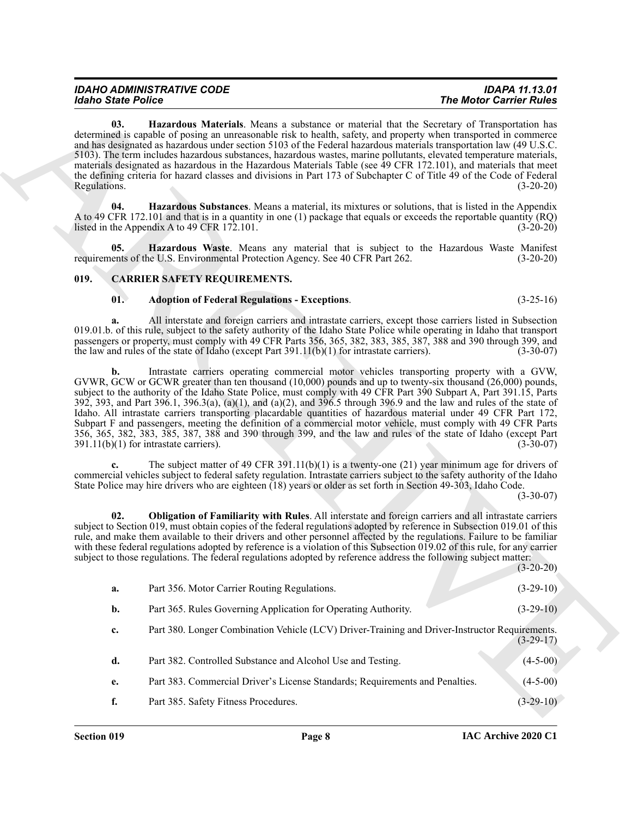### <span id="page-7-0"></span>**019. CARRIER SAFETY REQUIREMENTS.**

### <span id="page-7-6"></span><span id="page-7-5"></span><span id="page-7-3"></span><span id="page-7-2"></span><span id="page-7-1"></span>**01. Adoption of Federal Regulations - Exceptions**. (3-25-16)

<span id="page-7-4"></span>

| <b>Idaho State Police</b> |                                                                                                                                                                                                                                                                                                                                                                                                                                                                                                                                                                                                                                                                                                                                                                                                                                                           | <b>The Motor Carrier Rules</b> |  |
|---------------------------|-----------------------------------------------------------------------------------------------------------------------------------------------------------------------------------------------------------------------------------------------------------------------------------------------------------------------------------------------------------------------------------------------------------------------------------------------------------------------------------------------------------------------------------------------------------------------------------------------------------------------------------------------------------------------------------------------------------------------------------------------------------------------------------------------------------------------------------------------------------|--------------------------------|--|
| 03.<br>Regulations.       | Hazardous Materials. Means a substance or material that the Secretary of Transportation has<br>determined is capable of posing an unreasonable risk to health, safety, and property when transported in commerce<br>and has designated as hazardous under section 5103 of the Federal hazardous materials transportation law (49 U.S.C.<br>5103). The term includes hazardous substances, hazardous wastes, marine pollutants, elevated temperature materials,<br>materials designated as hazardous in the Hazardous Materials Table (see 49 CFR 172.101), and materials that meet<br>the defining criteria for hazard classes and divisions in Part 173 of Subchapter C of Title 49 of the Code of Federal                                                                                                                                               | $(3-20-20)$                    |  |
| 04.                       | Hazardous Substances. Means a material, its mixtures or solutions, that is listed in the Appendix<br>A to 49 CFR 172.101 and that is in a quantity in one (1) package that equals or exceeds the reportable quantity (RQ)<br>listed in the Appendix A to 49 CFR 172.101.                                                                                                                                                                                                                                                                                                                                                                                                                                                                                                                                                                                  | $(3-20-20)$                    |  |
| 05.                       | <b>Hazardous Waste.</b> Means any material that is subject to the Hazardous Waste Manifest<br>requirements of the U.S. Environmental Protection Agency. See 40 CFR Part 262.                                                                                                                                                                                                                                                                                                                                                                                                                                                                                                                                                                                                                                                                              | $(3-20-20)$                    |  |
| 019.                      | <b>CARRIER SAFETY REQUIREMENTS.</b>                                                                                                                                                                                                                                                                                                                                                                                                                                                                                                                                                                                                                                                                                                                                                                                                                       |                                |  |
| 01.                       | <b>Adoption of Federal Regulations - Exceptions.</b>                                                                                                                                                                                                                                                                                                                                                                                                                                                                                                                                                                                                                                                                                                                                                                                                      | $(3-25-16)$                    |  |
| a.                        | All interstate and foreign carriers and intrastate carriers, except those carriers listed in Subsection<br>019.01.b. of this rule, subject to the safety authority of the Idaho State Police while operating in Idaho that transport<br>passengers or property, must comply with 49 CFR Parts 356, 365, 382, 383, 385, 387, 388 and 390 through 399, and<br>the law and rules of the state of Idaho (except Part $391.11(b)(1)$ for intrastate carriers).                                                                                                                                                                                                                                                                                                                                                                                                 | $(3-30-07)$                    |  |
| b.                        | Intrastate carriers operating commercial motor vehicles transporting property with a GVW,<br>GVWR, GCW or GCWR greater than ten thousand (10,000) pounds and up to twenty-six thousand (26,000) pounds,<br>subject to the authority of the Idaho State Police, must comply with 49 CFR Part 390 Subpart A, Part 391.15, Parts<br>392, 393, and Part 396.1, 396.3(a), (a)(1), and (a)(2), and 396.5 through 396.9 and the law and rules of the state of<br>Idaho. All intrastate carriers transporting placardable quantities of hazardous material under 49 CFR Part 172,<br>Subpart F and passengers, meeting the definition of a commercial motor vehicle, must comply with 49 CFR Parts<br>356, 365, 382, 383, 385, 387, 388 and 390 through 399, and the law and rules of the state of Idaho (except Part<br>$391.11(b)(1)$ for intrastate carriers). | $(3-30-07)$                    |  |
|                           | The subject matter of 49 CFR 391.11(b)(1) is a twenty-one (21) year minimum age for drivers of<br>commercial vehicles subject to federal safety regulation. Intrastate carriers subject to the safety authority of the Idaho<br>State Police may hire drivers who are eighteen (18) years or older as set forth in Section 49-303, Idaho Code.                                                                                                                                                                                                                                                                                                                                                                                                                                                                                                            | $(3-30-07)$                    |  |
| 02.                       | Obligation of Familiarity with Rules. All interstate and foreign carriers and all intrastate carriers<br>subject to Section 019, must obtain copies of the federal regulations adopted by reference in Subsection 019.01 of this<br>rule, and make them available to their drivers and other personnel affected by the regulations. Failure to be familiar<br>with these federal regulations adopted by reference is a violation of this Subsection 019.02 of this rule, for any carrier<br>subject to those regulations. The federal regulations adopted by reference address the following subject matter:                                                                                                                                                                                                                                              | $(3-20-20)$                    |  |
| a.                        | Part 356. Motor Carrier Routing Regulations.                                                                                                                                                                                                                                                                                                                                                                                                                                                                                                                                                                                                                                                                                                                                                                                                              | $(3-29-10)$                    |  |
| b.                        | Part 365. Rules Governing Application for Operating Authority.                                                                                                                                                                                                                                                                                                                                                                                                                                                                                                                                                                                                                                                                                                                                                                                            | $(3-29-10)$                    |  |
| c.                        | Part 380. Longer Combination Vehicle (LCV) Driver-Training and Driver-Instructor Requirements.                                                                                                                                                                                                                                                                                                                                                                                                                                                                                                                                                                                                                                                                                                                                                            | $(3-29-17)$                    |  |
| d.                        | Part 382. Controlled Substance and Alcohol Use and Testing.                                                                                                                                                                                                                                                                                                                                                                                                                                                                                                                                                                                                                                                                                                                                                                                               | $(4-5-00)$                     |  |
| e.                        | Part 383. Commercial Driver's License Standards; Requirements and Penalties.                                                                                                                                                                                                                                                                                                                                                                                                                                                                                                                                                                                                                                                                                                                                                                              | $(4-5-00)$                     |  |
|                           |                                                                                                                                                                                                                                                                                                                                                                                                                                                                                                                                                                                                                                                                                                                                                                                                                                                           |                                |  |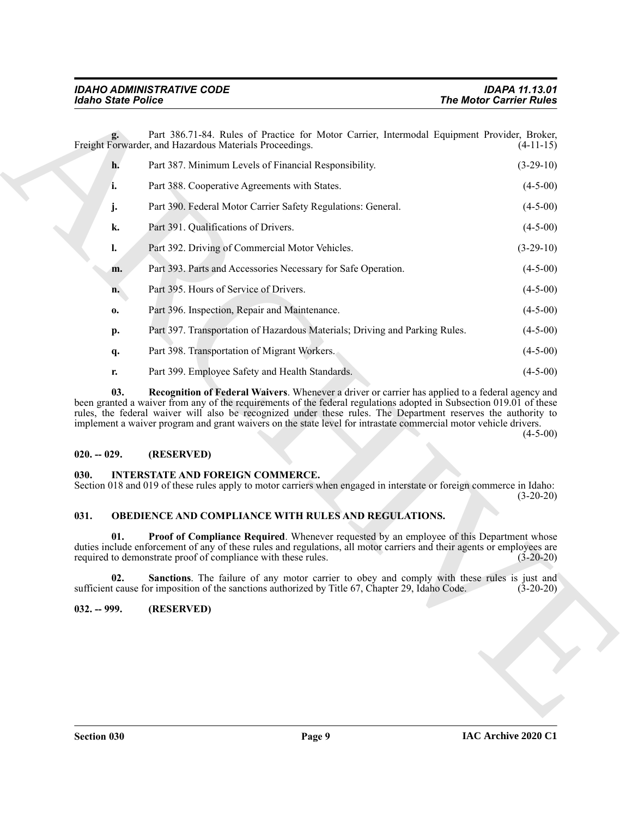The Montr' Entrepreneutre and The Montr' Entrepreneutre and the particle of the same of the same of the same of the same of the same of the same of the same of the same of the same of the same of the same of the same of t **g.** Part 386.71-84. Rules of Practice for Motor Carrier, Intermodal Equipment Provider, Broker, Freight Forwarder, and Hazardous Materials Proceedings. (4-11-15) **h.** Part 387. Minimum Levels of Financial Responsibility. (3-29-10) **i.** Part 388. Cooperative Agreements with States. (4-5-00) **j.** Part 390. Federal Motor Carrier Safety Regulations: General. (4-5-00) **k.** Part 391. Qualifications of Drivers. (4-5-00) **l.** Part 392. Driving of Commercial Motor Vehicles. (3-29-10) **m.** Part 393. Parts and Accessories Necessary for Safe Operation. (4-5-00) **n.** Part 395. Hours of Service of Drivers. (4-5-00) **o.** Part 396. Inspection, Repair and Maintenance. (4-5-00) **p.** Part 397. Transportation of Hazardous Materials; Driving and Parking Rules. (4-5-00) **q.** Part 398. Transportation of Migrant Workers. (4-5-00) **r.** Part 399. Employee Safety and Health Standards. (4-5-00)

<span id="page-8-4"></span>**03. Recognition of Federal Waivers**. Whenever a driver or carrier has applied to a federal agency and been granted a waiver from any of the requirements of the federal regulations adopted in Subsection 019.01 of these rules, the federal waiver will also be recognized under these rules. The Department reserves the authority to implement a waiver program and grant waivers on the state level for intrastate commercial motor vehicle drivers.

 $(4-5-00)$ 

### <span id="page-8-0"></span>**020. -- 029. (RESERVED)**

### <span id="page-8-5"></span><span id="page-8-1"></span>**030. INTERSTATE AND FOREIGN COMMERCE.**

Section 018 and 019 of these rules apply to motor carriers when engaged in interstate or foreign commerce in Idaho:  $(3-20-20)$ 

### <span id="page-8-6"></span><span id="page-8-2"></span>**031. OBEDIENCE AND COMPLIANCE WITH RULES AND REGULATIONS.**

<span id="page-8-7"></span>**01.** Proof of Compliance Required. Whenever requested by an employee of this Department whose duties include enforcement of any of these rules and regulations, all motor carriers and their agents or employees are required to demonstrate proof of compliance with these rules. (3-20-20)

<span id="page-8-8"></span>**02.** Sanctions. The failure of any motor carrier to obey and comply with these rules is just and t cause for imposition of the sanctions authorized by Title 67, Chapter 29, Idaho Code. (3-20-20) sufficient cause for imposition of the sanctions authorized by Title 67, Chapter 29, Idaho Code.

### <span id="page-8-3"></span>**032. -- 999. (RESERVED)**